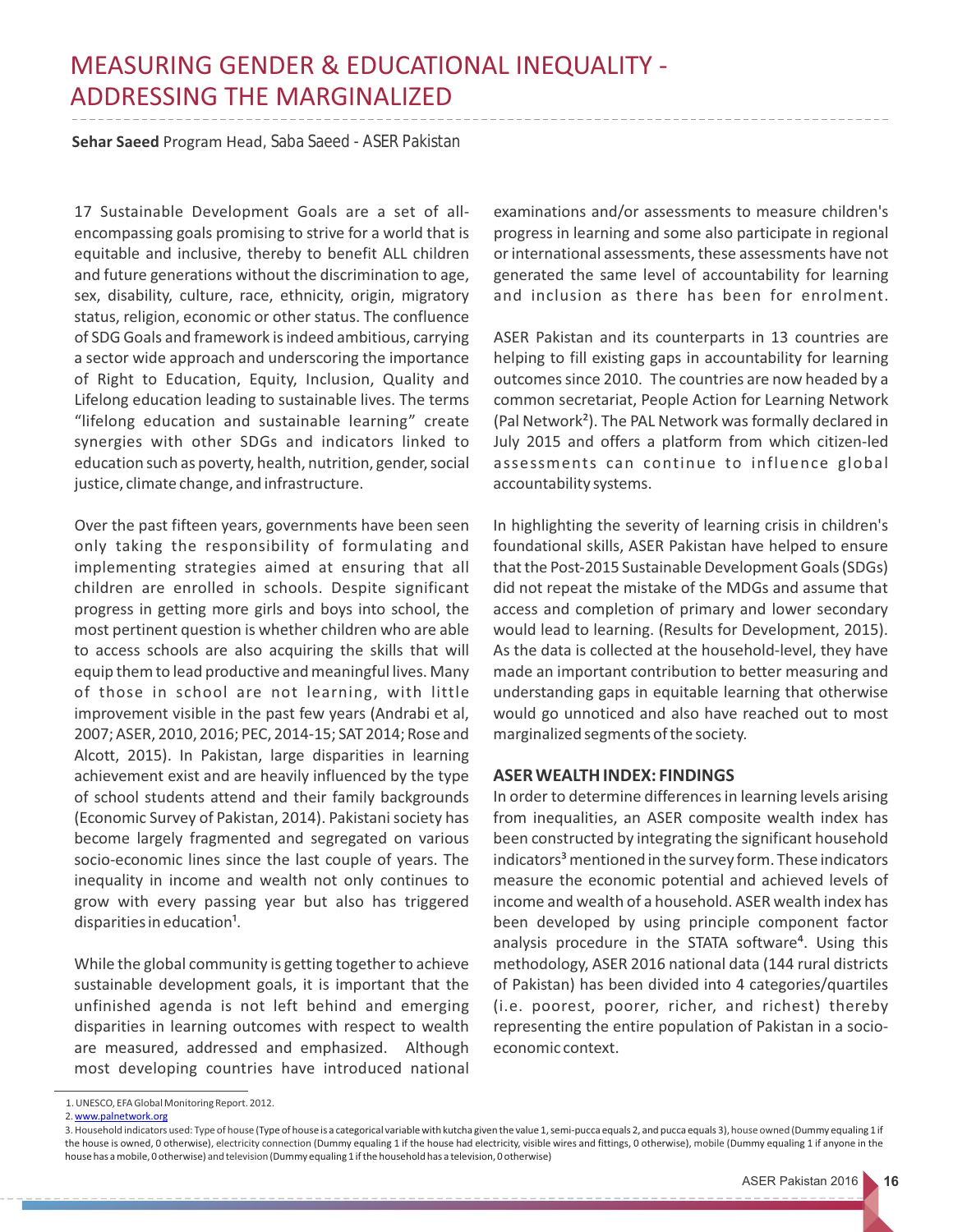## MEASURING GENDER & EDUCATIONAL INEQUALITY - ADDRESSING THE MARGINALIZED

**Sehar Saeed** Program Head, Saba Saeed - ASER Pakistan

17 Sustainable Development Goals are a set of allencompassing goals promising to strive for a world that is equitable and inclusive, thereby to benefit ALL children and future generations without the discrimination to age, sex, disability, culture, race, ethnicity, origin, migratory status, religion, economic or other status. The confluence of SDG Goals and framework is indeed ambitious, carrying a sector wide approach and underscoring the importance of Right to Education, Equity, Inclusion, Quality and Lifelong education leading to sustainable lives. The terms "lifelong education and sustainable learning" create synergies with other SDGs and indicators linked to education such as poverty, health, nutrition, gender, social justice, climate change, and infrastructure.

Over the past fifteen years, governments have been seen only taking the responsibility of formulating and implementing strategies aimed at ensuring that all children are enrolled in schools. Despite significant progress in getting more girls and boys into school, the most pertinent question is whether children who are able to access schools are also acquiring the skills that will equip them to lead productive and meaningful lives. Many of those in school are not learning, with little improvement visible in the past few years (Andrabi et al, 2007; ASER, 2010, 2016; PEC, 2014-15; SAT 2014; Rose and Alcott, 2015). In Pakistan, large disparities in learning achievement exist and are heavily influenced by the type of school students attend and their family backgrounds (Economic Survey of Pakistan, 2014). Pakistani society has become largely fragmented and segregated on various socio-economic lines since the last couple of years. The inequality in income and wealth not only continues to grow with every passing year but also has triggered disparities in education<sup>1</sup>.

While the global community is getting together to achieve sustainable development goals, it is important that the unfinished agenda is not left behind and emerging disparities in learning outcomes with respect to wealth are measured, addressed and emphasized. Although most developing countries have introduced national examinations and/or assessments to measure children's progress in learning and some also participate in regional or international assessments, these assessments have not generated the same level of accountability for learning and inclusion as there has been for enrolment.

ASER Pakistan and its counterparts in 13 countries are helping to fill existing gaps in accountability for learning outcomes since 2010. The countries are now headed by a common secretariat, People Action for Learning Network (Pal Network²). The PAL Network was formally declared in July 2015 and offers a platform from which citizen-led assessments can continue to influence global accountability systems.

In highlighting the severity of learning crisis in children's foundational skills, ASER Pakistan have helped to ensure that the Post-2015 Sustainable Development Goals (SDGs) did not repeat the mistake of the MDGs and assume that access and completion of primary and lower secondary would lead to learning. (Results for Development, 2015). As the data is collected at the household-level, they have made an important contribution to better measuring and understanding gaps in equitable learning that otherwise would go unnoticed and also have reached out to most marginalized segments of the society.

## **ASER WEALTH INDEX: FINDINGS**

In order to determine differences in learning levels arising from inequalities, an ASER composite wealth index has been constructed by integrating the significant household indicators<sup>3</sup> mentioned in the survey form. These indicators measure the economic potential and achieved levels of income and wealth of a household. ASER wealth index has been developed by using principle component factor analysis procedure in the STATA software<sup>4</sup>. Using this methodology, ASER 2016 national data (144 rural districts of Pakistan) has been divided into 4 categories/quartiles (i.e. poorest, poorer, richer, and richest) thereby representing the entire population of Pakistan in a socioeconomic context.

<sup>1.</sup> UNESCO, EFA Global Monitoring Report. 2012.

<sup>2.</sup> [www.palnetwork.org](http://www.palnetwork.org)

<sup>3.</sup> Household indicators used: Type of house (Type of house is a categorical variable with kutcha given the value 1, semi-pucca equals 2, and pucca equals 3), house owned (Dummy equaling 1 if the house is owned, 0 otherwise), electricity connection (Dummy equaling 1 if the house had electricity, visible wires and fittings, 0 otherwise), mobile (Dummy equaling 1 if anyone in the house has a mobile, 0 otherwise) and television (Dummy equaling 1 if the household has a television, 0 otherwise)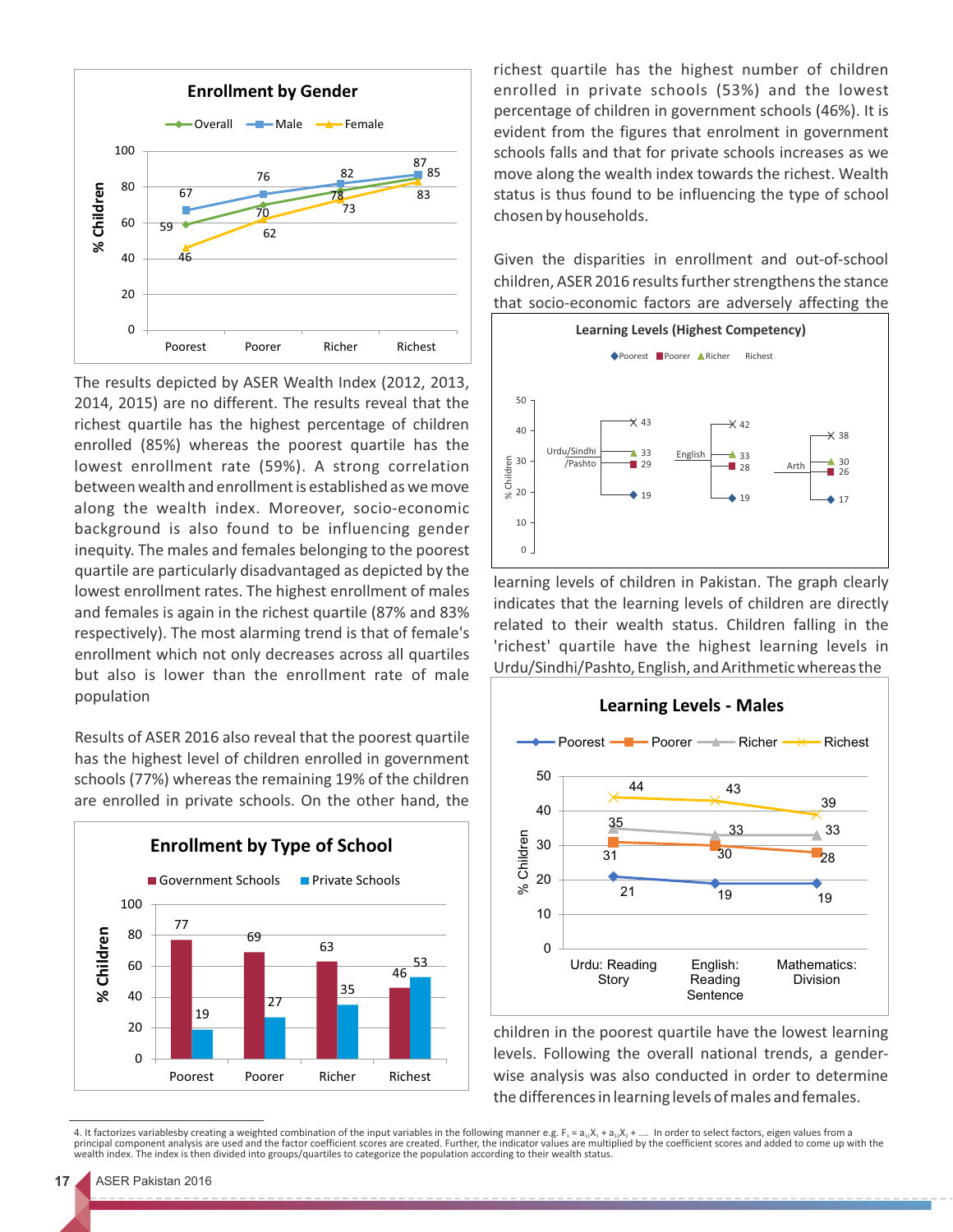

The results depicted by ASER Wealth Index (2012, 2013, 2014, 2015) are no different. The results reveal that the richest quartile has the highest percentage of children enrolled (85%) whereas the poorest quartile has the lowest enrollment rate (59%). A strong correlation between wealth and enrollment is established as we move along the wealth index. Moreover, socio-economic background is also found to be influencing gender inequity. The males and females belonging to the poorest quartile are particularly disadvantaged as depicted by the lowest enrollment rates. The highest enrollment of males and females is again in the richest quartile (87% and 83% respectively). The most alarming trend is that of female's enrollment which not only decreases across all quartiles but also is lower than the enrollment rate of male population

Results of ASER 2016 also reveal that the poorest quartile has the highest level of children enrolled in government schools (77%) whereas the remaining 19% of the children are enrolled in private schools. On the other hand, the



richest quartile has the highest number of children enrolled in private schools (53%) and the lowest percentage of children in government schools (46%). It is evident from the figures that enrolment in government schools falls and that for private schools increases as we move along the wealth index towards the richest. Wealth status is thus found to be influencing the type of school chosen by households.

Given the disparities in enrollment and out-of-school children, ASER 2016 results further strengthens the stance that socio-economic factors are adversely affecting the



learning levels of children in Pakistan. The graph clearly indicates that the learning levels of children are directly related to their wealth status. Children falling in the 'richest' quartile have the highest learning levels in Urdu/Sindhi/Pashto, English, and Arithmetic whereas the



children in the poorest quartile have the lowest learning levels. Following the overall national trends, a genderwise analysis was also conducted in order to determine the differences in learning levels of males and females.

4. It factorizes variablesby creating a weighted combination of the input variables in the following manner e.g. F<sub>1</sub> = a<sub>11</sub>X<sub>1</sub> + a<sub>12</sub>X<sub>2</sub> + .... In order to select factors, eigen values from a<br>principal component analy wealth index. The index is then divided into groups/quartiles to categorize the population according to their wealth status.